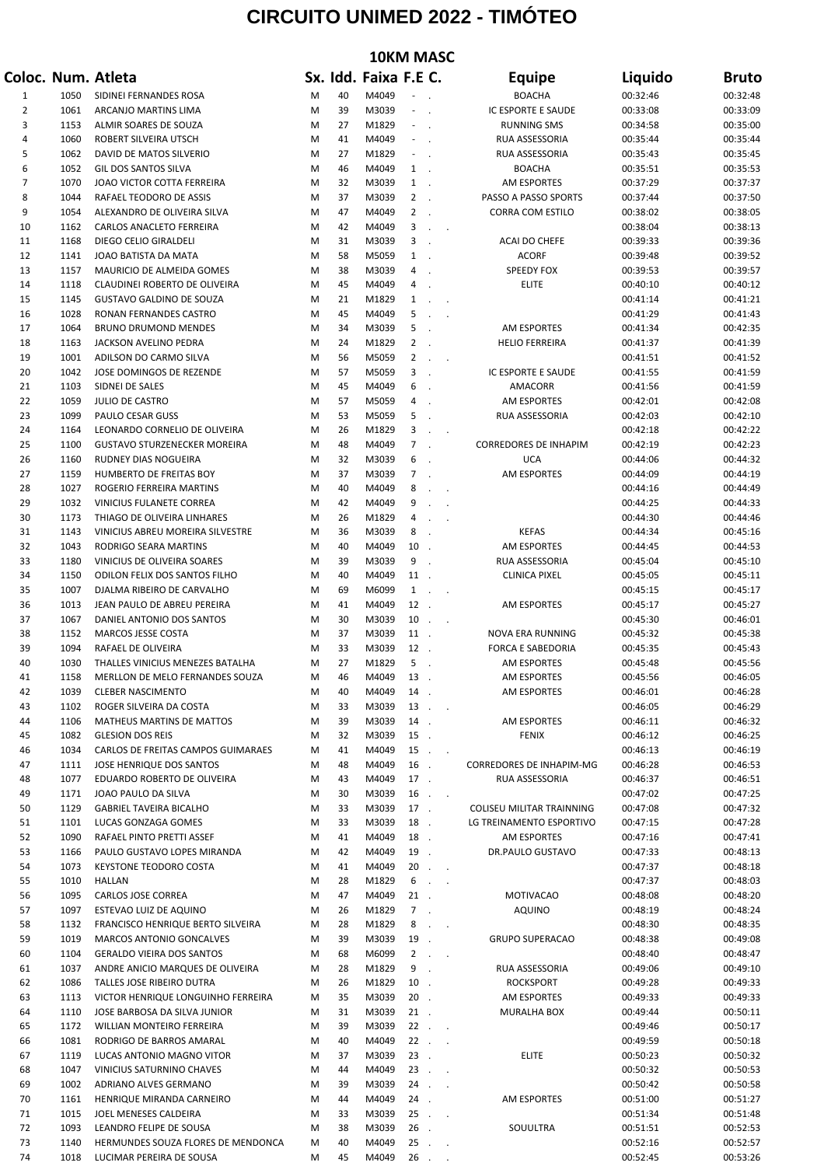## **CIRCUITO UNIMED 2022 - TIMÓTEO**

| <b>10KM MASC</b> |              |                                                                      |        |          |                       |                                            |                            |                                   |                      |                      |
|------------------|--------------|----------------------------------------------------------------------|--------|----------|-----------------------|--------------------------------------------|----------------------------|-----------------------------------|----------------------|----------------------|
|                  |              | Coloc. Num. Atleta                                                   |        |          | Sx. Idd. Faixa F.E C. |                                            |                            | <b>Equipe</b>                     | Liquido              | <b>Bruto</b>         |
| 1                | 1050         | SIDINEI FERNANDES ROSA                                               | M      | 40       | M4049                 |                                            |                            | <b>BOACHA</b>                     | 00:32:46             | 00:32:48             |
| 2                | 1061         | ARCANJO MARTINS LIMA                                                 | M      | 39       | M3039                 | $\overline{\phantom{a}}$<br>$\sim$         |                            | IC ESPORTE E SAUDE                | 00:33:08             | 00:33:09             |
| 3                | 1153         | ALMIR SOARES DE SOUZA                                                | M      | 27       | M1829                 | $\sim$                                     |                            | <b>RUNNING SMS</b>                | 00:34:58             | 00:35:00             |
| 4<br>5           | 1060<br>1062 | ROBERT SILVEIRA UTSCH                                                | M<br>M | 41<br>27 | M4049<br>M1829        | $\sim$<br>$\sim$                           |                            | RUA ASSESSORIA                    | 00:35:44             | 00:35:44<br>00:35:45 |
| 6                | 1052         | DAVID DE MATOS SILVERIO<br>GIL DOS SANTOS SILVA                      | M      | 46       | M4049                 | $1$ .                                      |                            | RUA ASSESSORIA<br><b>BOACHA</b>   | 00:35:43<br>00:35:51 | 00:35:53             |
| $\overline{7}$   | 1070         | JOAO VICTOR COTTA FERREIRA                                           | M      | 32       | M3039                 | $1$ .                                      |                            | <b>AM ESPORTES</b>                | 00:37:29             | 00:37:37             |
| 8                | 1044         | RAFAEL TEODORO DE ASSIS                                              | M      | 37       | M3039                 | $2$ .                                      |                            | PASSO A PASSO SPORTS              | 00:37:44             | 00:37:50             |
| 9                | 1054         | ALEXANDRO DE OLIVEIRA SILVA                                          | M      | 47       | M4049                 | $2$ .                                      |                            | <b>CORRA COM ESTILO</b>           | 00:38:02             | 00:38:05             |
| 10               | 1162         | CARLOS ANACLETO FERREIRA                                             | M      | 42       | M4049                 | 3<br>$\sim$                                | $\sim$                     |                                   | 00:38:04             | 00:38:13             |
| 11               | 1168         | DIEGO CELIO GIRALDELI                                                | M      | 31       | M3039                 | 3                                          |                            | ACAI DO CHEFE                     | 00:39:33             | 00:39:36             |
| 12<br>13         | 1141<br>1157 | JOAO BATISTA DA MATA<br>MAURICIO DE ALMEIDA GOMES                    | M<br>M | 58<br>38 | M5059<br>M3039        | $1$ .<br>$\overline{4}$                    |                            | <b>ACORF</b><br><b>SPEEDY FOX</b> | 00:39:48<br>00:39:53 | 00:39:52<br>00:39:57 |
| 14               | 1118         | CLAUDINEI ROBERTO DE OLIVEIRA                                        | M      | 45       | M4049                 | 4                                          |                            | <b>ELITE</b>                      | 00:40:10             | 00:40:12             |
| 15               | 1145         | <b>GUSTAVO GALDINO DE SOUZA</b>                                      | M      | 21       | M1829                 | $\mathbf{1}$<br>$\overline{a}$             |                            |                                   | 00:41:14             | 00:41:21             |
| 16               | 1028         | RONAN FERNANDES CASTRO                                               | M      | 45       | M4049                 | 5<br>$\mathcal{L}_{\mathbf{z}}$            |                            |                                   | 00:41:29             | 00:41:43             |
| 17               | 1064         | <b>BRUNO DRUMOND MENDES</b>                                          | M      | 34       | M3039                 | 5                                          |                            | <b>AM ESPORTES</b>                | 00:41:34             | 00:42:35             |
| 18               | 1163         | JACKSON AVELINO PEDRA                                                | M      | 24       | M1829                 | $2$ .                                      |                            | <b>HELIO FERREIRA</b>             | 00:41:37             | 00:41:39             |
| 19               | 1001         | ADILSON DO CARMO SILVA                                               | M      | 56       | M5059                 | $\overline{2}$<br>$\overline{\phantom{a}}$ | $\overline{\phantom{a}}$   |                                   | 00:41:51             | 00:41:52             |
| 20<br>21         | 1042<br>1103 | JOSE DOMINGOS DE REZENDE<br>SIDNEI DE SALES                          | M<br>M | 57<br>45 | M5059<br>M4049        | 3<br>$\sim$<br>6                           |                            | IC ESPORTE E SAUDE<br>AMACORR     | 00:41:55<br>00:41:56 | 00:41:59<br>00:41:59 |
| 22               | 1059         | JULIO DE CASTRO                                                      | M      | 57       | M5059                 | 4<br>$\sim$                                |                            | AM ESPORTES                       | 00:42:01             | 00:42:08             |
| 23               | 1099         | PAULO CESAR GUSS                                                     | M      | 53       | M5059                 | 5                                          |                            | RUA ASSESSORIA                    | 00:42:03             | 00:42:10             |
| 24               | 1164         | LEONARDO CORNELIO DE OLIVEIRA                                        | M      | 26       | M1829                 | 3<br>$\mathcal{L}_{\mathbf{z}}$            | $\overline{\phantom{a}}$   |                                   | 00:42:18             | 00:42:22             |
| 25               | 1100         | <b>GUSTAVO STURZENECKER MOREIRA</b>                                  | M      | 48       | M4049                 | $7$ .                                      |                            | <b>CORREDORES DE INHAPIM</b>      | 00:42:19             | 00:42:23             |
| 26               | 1160         | RUDNEY DIAS NOGUEIRA                                                 | M      | 32       | M3039                 | 6                                          |                            | <b>UCA</b>                        | 00:44:06             | 00:44:32             |
| 27               | 1159         | HUMBERTO DE FREITAS BOY                                              | M      | 37       | M3039                 | 7.                                         |                            | AM ESPORTES                       | 00:44:09             | 00:44:19             |
| 28               | 1027<br>1032 | ROGERIO FERREIRA MARTINS<br>VINICIUS FULANETE CORREA                 | M<br>M | 40<br>42 | M4049<br>M4049        | 8<br>$\ddot{\phantom{a}}$<br>9             | $\sim$                     |                                   | 00:44:16<br>00:44:25 | 00:44:49<br>00:44:33 |
| 29<br>30         | 1173         | THIAGO DE OLIVEIRA LINHARES                                          | M      | 26       | M1829                 | 4<br>$\overline{a}$                        |                            |                                   | 00:44:30             | 00:44:46             |
| 31               | 1143         | VINICIUS ABREU MOREIRA SILVESTRE                                     | M      | 36       | M3039                 | 8                                          |                            | <b>KEFAS</b>                      | 00:44:34             | 00:45:16             |
| 32               | 1043         | RODRIGO SEARA MARTINS                                                | M      | 40       | M4049                 | 10                                         |                            | <b>AM ESPORTES</b>                | 00:44:45             | 00:44:53             |
| 33               | 1180         | VINICIUS DE OLIVEIRA SOARES                                          | M      | 39       | M3039                 | 9                                          |                            | RUA ASSESSORIA                    | 00:45:04             | 00:45:10             |
| 34               | 1150         | ODILON FELIX DOS SANTOS FILHO                                        | M      | 40       | M4049                 | 11.                                        |                            | <b>CLINICA PIXEL</b>              | 00:45:05             | 00:45:11             |
| 35               | 1007         | DJALMA RIBEIRO DE CARVALHO                                           | M      | 69       | M6099                 | $\mathbf{1}$<br>$\sim$                     | $\sim$                     |                                   | 00:45:15             | 00:45:17             |
| 36<br>37         | 1013<br>1067 | JEAN PAULO DE ABREU PEREIRA<br>DANIEL ANTONIO DOS SANTOS             | M<br>M | 41<br>30 | M4049<br>M3039        | 12.<br>10                                  |                            | <b>AM ESPORTES</b>                | 00:45:17<br>00:45:30 | 00:45:27<br>00:46:01 |
| 38               | 1152         | MARCOS JESSE COSTA                                                   | M      | 37       | M3039                 | 11.                                        | $\overline{\phantom{a}}$   | NOVA ERA RUNNING                  | 00:45:32             | 00:45:38             |
| 39               | 1094         | RAFAEL DE OLIVEIRA                                                   | M      | 33       | M3039                 | 12.                                        |                            | <b>FORCA E SABEDORIA</b>          | 00:45:35             | 00:45:43             |
| 40               | 1030         | THALLES VINICIUS MENEZES BATALHA                                     | M      | 27       | M1829                 | 5<br>$\overline{\phantom{a}}$              |                            | AM ESPORTES                       | 00:45:48             | 00:45:56             |
| 41               | 1158         | MERLLON DE MELO FERNANDES SOUZA                                      | M      | 46       | M4049                 | 13                                         |                            | AM ESPORTES                       | 00:45:56             | 00:46:05             |
| 42               | 1039         | <b>CLEBER NASCIMENTO</b>                                             | M      | 40       | M4049                 | 14                                         |                            | AM ESPORTES                       | 00:46:01             | 00:46:28             |
| 43               | 1102         | ROGER SILVEIRA DA COSTA                                              | M      | 33       | M3039                 | 13                                         | $\sim 10^{-10}$ km $^{-1}$ |                                   | 00:46:05             | 00:46:29             |
| 44<br>45         | 1106<br>1082 | <b>MATHEUS MARTINS DE MATTOS</b><br><b>GLESION DOS REIS</b>          | M<br>M | 39<br>32 | M3039<br>M3039        | 14.<br>15.                                 |                            | AM ESPORTES<br><b>FENIX</b>       | 00:46:11<br>00:46:12 | 00:46:32<br>00:46:25 |
| 46               | 1034         | CARLOS DE FREITAS CAMPOS GUIMARAES                                   | M      | 41       | M4049                 | 15                                         | $\sim 10^{-1}$ km $^{-1}$  |                                   | 00:46:13             | 00:46:19             |
| 47               | 1111         | JOSE HENRIQUE DOS SANTOS                                             | M      | 48       | M4049                 | 16.                                        |                            | <b>CORREDORES DE INHAPIM-MG</b>   | 00:46:28             | 00:46:53             |
| 48               | 1077         | EDUARDO ROBERTO DE OLIVEIRA                                          | M      | 43       | M4049                 | $17$ .                                     |                            | RUA ASSESSORIA                    | 00:46:37             | 00:46:51             |
| 49               | 1171         | JOAO PAULO DA SILVA                                                  | M      | 30       | M3039                 | 16<br>$\sim$                               | $\sim$ $\sim$              |                                   | 00:47:02             | 00:47:25             |
| 50               | 1129         | <b>GABRIEL TAVEIRA BICALHO</b>                                       | M      | 33       | M3039                 | 17.                                        |                            | COLISEU MILITAR TRAINNING         | 00:47:08             | 00:47:32             |
| 51               | 1101         | LUCAS GONZAGA GOMES                                                  | M      | 33       | M3039                 | 18.                                        |                            | LG TREINAMENTO ESPORTIVO          | 00:47:15             | 00:47:28             |
| 52<br>53         | 1090<br>1166 | RAFAEL PINTO PRETTI ASSEF<br>PAULO GUSTAVO LOPES MIRANDA             | M<br>M | 41<br>42 | M4049<br>M4049        | 18.<br>19.                                 |                            | AM ESPORTES<br>DR.PAULO GUSTAVO   | 00:47:16<br>00:47:33 | 00:47:41<br>00:48:13 |
| 54               | 1073         | KEYSTONE TEODORO COSTA                                               | M      | 41       | M4049                 |                                            | $20$                       |                                   | 00:47:37             | 00:48:18             |
| 55               | 1010         | <b>HALLAN</b>                                                        | M      | 28       | M1829                 | 6                                          | $\sim 10^{-11}$ .          |                                   | 00:47:37             | 00:48:03             |
| 56               | 1095         | CARLOS JOSE CORREA                                                   | M      | 47       | M4049                 | $21$ .                                     |                            | <b>MOTIVACAO</b>                  | 00:48:08             | 00:48:20             |
| 57               | 1097         | ESTEVAO LUIZ DE AQUINO                                               | M      | 26       | M1829                 | $7$ .                                      |                            | <b>AQUINO</b>                     | 00:48:19             | 00:48:24             |
| 58               | 1132         | FRANCISCO HENRIQUE BERTO SILVEIRA                                    | M      | 28       | M1829                 | 8                                          | $\sim 100$ $\mu$           |                                   | 00:48:30             | 00:48:35             |
| 59               | 1019         | <b>MARCOS ANTONIO GONCALVES</b>                                      | M      | 39       | M3039                 | 19.                                        |                            | <b>GRUPO SUPERACAO</b>            | 00:48:38             | 00:49:08             |
| 60<br>61         | 1104<br>1037 | <b>GERALDO VIEIRA DOS SANTOS</b><br>ANDRE ANICIO MARQUES DE OLIVEIRA | M<br>M | 68<br>28 | M6099<br>M1829        | 9<br>$\overline{\phantom{a}}$              | $2 \cdot \cdot$            | RUA ASSESSORIA                    | 00:48:40<br>00:49:06 | 00:48:47<br>00:49:10 |
| 62               | 1086         | TALLES JOSE RIBEIRO DUTRA                                            | M      | 26       | M1829                 | $10$ .                                     |                            | <b>ROCKSPORT</b>                  | 00:49:28             | 00:49:33             |
| 63               | 1113         | VICTOR HENRIQUE LONGUINHO FERREIRA                                   | M      | 35       | M3039                 | $20$ .                                     |                            | AM ESPORTES                       | 00:49:33             | 00:49:33             |
| 64               | 1110         | JOSE BARBOSA DA SILVA JUNIOR                                         | M      | 31       | M3039                 | $21$ .                                     |                            | MURALHA BOX                       | 00:49:44             | 00:50:11             |
| 65               | 1172         | WILLIAN MONTEIRO FERREIRA                                            | M      | 39       | M3039                 | $22$                                       |                            |                                   | 00:49:46             | 00:50:17             |
| 66               | 1081         | RODRIGO DE BARROS AMARAL                                             | M      | 40       | M4049                 | $22$                                       |                            |                                   | 00:49:59             | 00:50:18             |
| 67               | 1119         | LUCAS ANTONIO MAGNO VITOR                                            | M      | 37       | M3039                 | $23$ .                                     |                            | <b>ELITE</b>                      | 00:50:23             | 00:50:32             |
| 68               | 1047<br>1002 | VINICIUS SATURNINO CHAVES                                            | M      | 44<br>39 | M4049<br>M3039        | 23<br>24                                   | $\sim 10^{-11}$            |                                   | 00:50:32<br>00:50:42 | 00:50:53<br>00:50:58 |
| 69<br>70         | 1161         | ADRIANO ALVES GERMANO<br>HENRIQUE MIRANDA CARNEIRO                   | M<br>M | 44       | M4049                 | $24$ .                                     | $\sim 100$ km s $^{-1}$    | AM ESPORTES                       | 00:51:00             | 00:51:27             |
| 71               | 1015         | JOEL MENESES CALDEIRA                                                | M      | 33       | M3039                 | $25$                                       |                            |                                   | 00:51:34             | 00:51:48             |
| 72               | 1093         | LEANDRO FELIPE DE SOUSA                                              | M      | 38       | M3039                 | 26.                                        |                            | SOUULTRA                          | 00:51:51             | 00:52:53             |
| 73               | 1140         | HERMUNDES SOUZA FLORES DE MENDONCA                                   | M      | 40       | M4049                 | $25$                                       |                            |                                   | 00:52:16             | 00:52:57             |
| 74               | 1018         | LUCIMAR PEREIRA DE SOUSA                                             | M      | 45       | M4049                 | $26$                                       |                            |                                   | 00:52:45             | 00:53:26             |